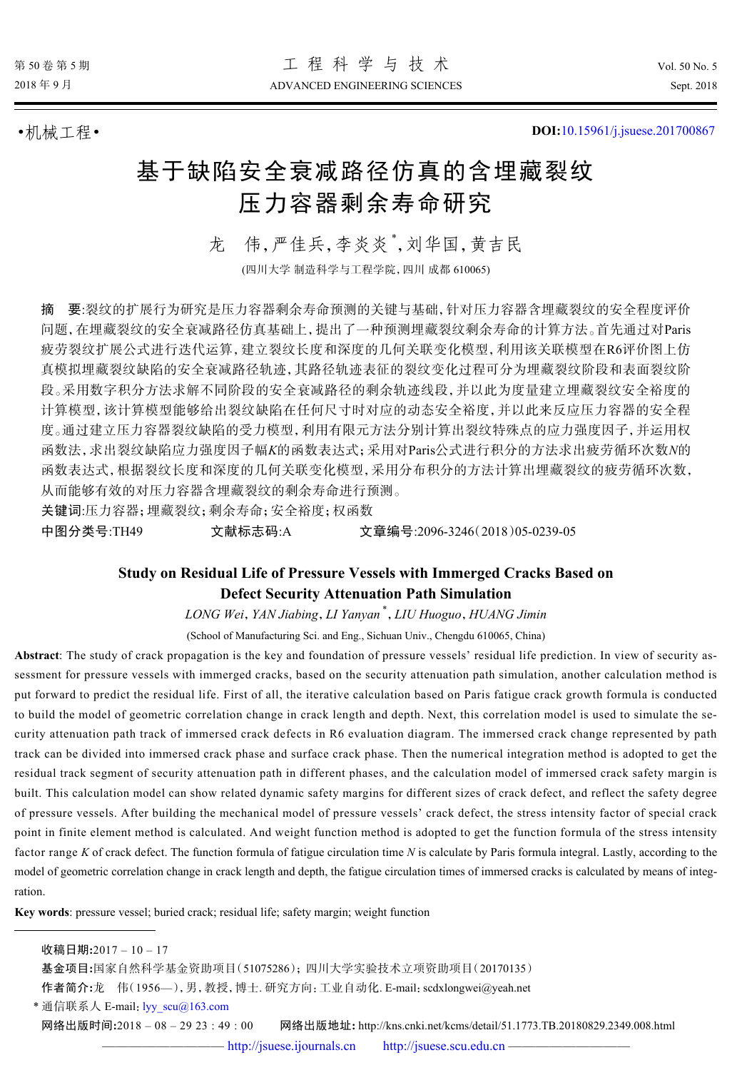•机械工程• **DOI:**[10.15961/j.jsuese.201700867](http://dx.doi.org/10.15961/j.jsuese.201700867)

# 基于缺陷安全衰减路径仿真的含埋藏裂纹 压力容器剩余寿命研究

龙 伟,严佳兵,李炎炎 \* ,刘华国,黄吉民

(四川大学 制造科学与工程学院,四川 成都 610065)

摘 要:裂纹的扩展行为研究是压力容器剩余寿命预测的关键与基础,针对压力容器含埋藏裂纹的安全程度评价 问题,在埋藏裂纹的安全衰减路径仿真基础上,提出了一种预测埋藏裂纹剩余寿命的计算方法。首先通过对Paris 疲劳裂纹扩展公式进行迭代运算,建立裂纹长度和深度的几何关联变化模型,利用该关联模型在R6评价图上仿 真模拟埋藏裂纹缺陷的安全衰减路径轨迹,其路径轨迹表征的裂纹变化过程可分为埋藏裂纹阶段和表面裂纹阶 段。采用数字积分方法求解不同阶段的安全衰减路径的剩余轨迹线段,并以此为度量建立埋藏裂纹安全裕度的 计算模型,该计算模型能够给出裂纹缺陷在任何尺寸时对应的动态安全裕度,并以此来反应压力容器的安全程 度。通过建立压力容器裂纹缺陷的受力模型,利用有限元方法分别计算出裂纹特殊点的应力强度因子,并运用权 函数法,求出裂纹缺陷应力强度因子幅*K*的函数表达式;采用对Paris公式进行积分的方法求出疲劳循环次数*N*的 函数表达式,根据裂纹长度和深度的几何关联变化模型,采用分布积分的方法计算出埋藏裂纹的疲劳循环次数, 从而能够有效的对压力容器含埋藏裂纹的剩余寿命进行预测。

关键词:压力容器;埋藏裂纹;剩余寿命;安全裕度;权函数

中图分类号:TH49 文献标志码:A 文章编号:2096-3246(2018)05-0239-05

## **Study on Residual Life of Pressure Vessels with Immerged Cracks Based on Defect Security Attenuation Path Simulation**

*LONG Wei*,*YAN Jiabing*,*LI Yanyan* \* ,*LIU Huoguo*,*HUANG Jimin*

(School of Manufacturing Sci. and Eng., Sichuan Univ., Chengdu 610065, China)

**Abstract**: The study of crack propagation is the key and foundation of pressure vessels' residual life prediction. In view of security assessment for pressure vessels with immerged cracks, based on the security attenuation path simulation, another calculation method is put forward to predict the residual life. First of all, the iterative calculation based on Paris fatigue crack growth formula is conducted to build the model of geometric correlation change in crack length and depth. Next, this correlation model is used to simulate the security attenuation path track of immersed crack defects in R6 evaluation diagram. The immersed crack change represented by path track can be divided into immersed crack phase and surface crack phase. Then the numerical integration method is adopted to get the residual track segment of security attenuation path in different phases, and the calculation model of immersed crack safety margin is built. This calculation model can show related dynamic safety margins for different sizes of crack defect, and reflect the safety degree of pressure vessels. After building the mechanical model of pressure vessels' crack defect, the stress intensity factor of special crack point in finite element method is calculated. And weight function method is adopted to get the function formula of the stress intensity factor range *K* of crack defect. The function formula of fatigue circulation time *N* is calculate by Paris formula integral. Lastly, according to the model of geometric correlation change in crack length and depth, the fatigue circulation times of immersed cracks is calculated by means of integration.

**Key words**: pressure vessel; buried crack; residual life; safety margin; weight function

收稿日期**:**2017 – 10 – 17

基金项目**:**国家自然科学基金资助项目(51075286); 四川大学实验技术立项资助项目(20170135)

作者简介**:**龙 伟(1956—),男,教授,博士. 研究方向:工业自动化. E-mail:scdxlongwei@yeah.net

\* 通信联系人 E-mail: [lyy\\_scu@163.com](mailto:lyy_scu@163.com)

网络出版时间**:**2018 – 08 – 29 23 : 49 : 00 网络出版地址**:** http://kns.cnki.net/kcms/detail/51.1773.TB.20180829.2349.008.html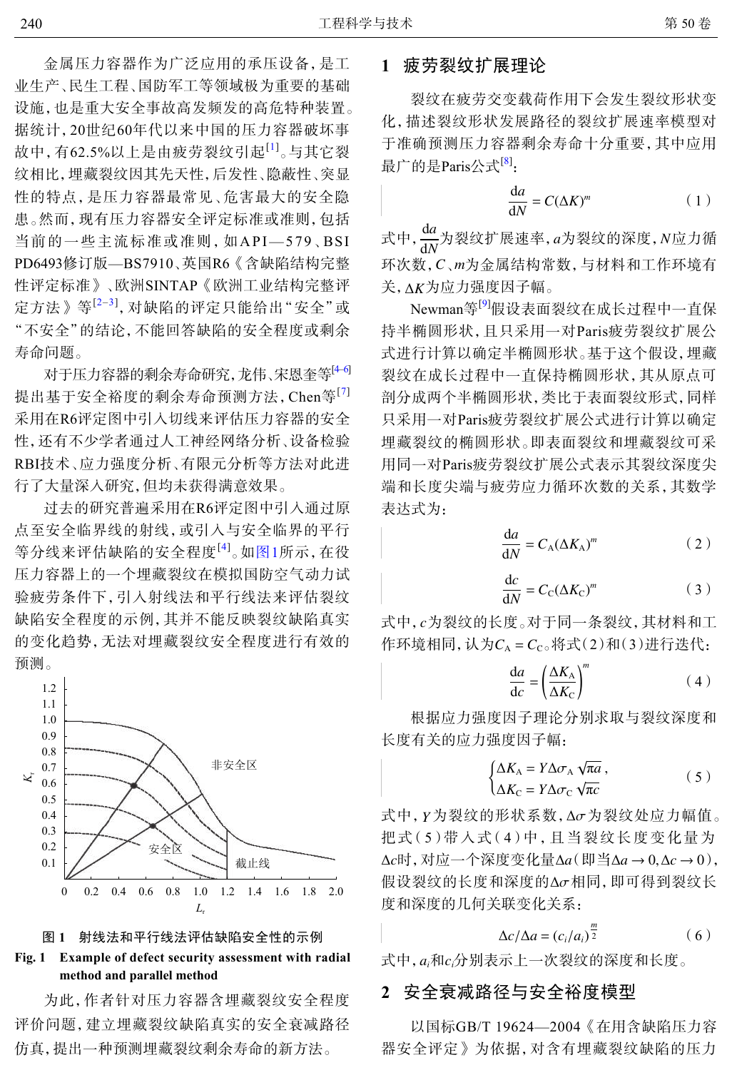金属压力容器作为广泛应用的承压设备,是工 业生产、民生工程、国防军工等领域极为重要的基础 设施,也是重大安全事故高发频发的高危特种装置。 据统计,20世纪60年代以来中国的压力容器破坏事 故中, 有62.5%以上是由疲劳裂纹引起<sup>[[1\]](#page-3-0)</sup>。与其它裂 纹相比,埋藏裂纹因其先天性,后发性、隐蔽性、突显 性的特点,是压力容器最常见、危害最大的安全隐 患。然而,现有压力容器安全评定标准或准则,包括 当前的一些主流标准或准则,如API—579、BSI PD6493修订版—BS7910、英国R6《含缺陷结构完整 性评定标准》、欧洲SINTAP《欧洲工业结构完整评 定方法》等<sup>[\[2](#page-3-1)–[3](#page-3-2)]</sup>, 对缺陷的评定只能给出"安全"或 "不安全"的结论,不能回答缺陷的安全程度或剩余 寿命问题。

对于压力容器的剩余寿命研究,龙伟、宋恩奎等[\[4–](#page-3-3)[6\]](#page-4-0) 提出基于安全裕度的剩余寿命预测方法, Chen等<sup>[[7](#page-4-1)]</sup> 采用在R6评定图中引入切线来评估压力容器的安全 性,还有不少学者通过人工神经网络分析、设备检验 RBI技术、应力强度分析、有限元分析等方法对此进 行了大量深入研究,但均未获得满意效果。

过去的研究普遍采用在R6评定图中引入通过原 点至安全临界线的射线,或引入与[安全临](#page-1-0)界的平行 等分线来评估缺陷的安全程度<sup>[[4](#page-3-3)]</sup>。如[图](#page-1-0)[1](#page-1-0)所示, 在役 压力容器上的一个埋藏裂纹在模拟国防空气动力试 验疲劳条件下,引入射线法和平行线法来评估裂纹 缺陷安全程度的示例,其并不能反映裂纹缺陷真实 的变化趋势,无法对埋藏裂纹安全程度进行有效的 预测。

<span id="page-1-0"></span>

#### 图 **1** 射线法和平行线法评估缺陷安全性的示例

#### **Fig. 1 Example of defect security assessment with radial method and parallel method**

为此,作者针对压力容器含埋藏裂纹安全程度 评价问题,建立埋藏裂纹缺陷真实的安全衰减路径 仿真,提出一种预测埋藏裂纹剩余寿命的新方法。

## **1** 疲劳裂纹扩展理论

裂纹在疲劳交变载荷作用下会发生裂纹形状变 化,描述裂纹形状发展路径的裂纹扩展速率模型对 于准确预测压力容器剩余寿命十分重要,其中应用 最广的是Paris公式<sup>[\[8\]](#page-4-2)</sup>:

$$
\frac{\mathrm{d}a}{\mathrm{d}N} = C(\Delta K)^m \tag{1}
$$

d*a* 式中, <del>三</del>为裂纹扩展速率,  $a$ 为裂纹的深度,  $N$ 应力循 环次数, C 、*m*为金属结构常数, 与材料和工作环境有 关, <u>ΔK</u>为应力强度因子幅。

Newman等<sup>[\[9](#page-4-3)]</sup>假设表面裂纹在成长过程中一直保 持半椭圆形状,且只采用一对Paris疲劳裂纹扩展公 式进行计算以确定半椭圆形状。基于这个假设,埋藏 裂纹在成长过程中一直保持椭圆形状,其从原点可 剖分成两个半椭圆形状,类比于表面裂纹形式,同样 只采用一对Paris疲劳裂纹扩展公式进行计算以确定 埋藏裂纹的椭圆形状。即表面裂纹和埋藏裂纹可采 用同一对Paris疲劳裂纹扩展公式表示其裂纹深度尖 端和长度尖端与疲劳应力循环次数的关系,其数学 表达式为:

$$
\frac{\mathrm{d}a}{\mathrm{d}N} = C_{\mathrm{A}} (\Delta K_{\mathrm{A}})^{m} \tag{2}
$$

$$
\frac{\mathrm{d}c}{\mathrm{d}N} = C_{\mathrm{C}}(\Delta K_{\mathrm{C}})^{m} \tag{3}
$$

式中, c为裂纹的长度。对于同一条裂纹, 其材料和工 作环境相同,认为 $C_A = C_{C\circ}$ 将式 $(2)$ 和 $(3)$ 进行迭代:

$$
\frac{da}{dc} = \left(\frac{\Delta K_A}{\Delta K_C}\right)^m \tag{4}
$$

根据应力强度因子理论分别求取与裂纹深度和 长度有关的应力强度因子幅:

$$
\begin{cases} \Delta K_{\rm A} = Y \Delta \sigma_{\rm A} \sqrt{\pi a} \,, \\ \Delta K_{\rm C} = Y \Delta \sigma_{\rm C} \sqrt{\pi c} \end{cases} \tag{5}
$$

式中, *y* 为裂纹的形状系数, Δσ为裂纹处应力幅值。  $\Delta$ *c*时,对应一个深度变化量Δ*a* ( 即当Δ*a* → 0,Δ*c* → 0 ), 假设裂纹的长度和深度的Δσ相同,即可得到裂纹长 把式( 5)带入式( 4)中,且当裂纹长度变化量为 度和深度的几何关联变化关系:

$$
\Delta c/\Delta a = (c_i/a_i)^{\frac{m}{2}} \tag{6}
$$

式中,*ai*和*ci*分别表示上一次裂纹的深度和长度。

## **2** 安全衰减路径与安全裕度模型

以国标GB/T 19624—2004《在用含缺陷压力容 器安全评定》为依据,对含有埋藏裂纹缺陷的压力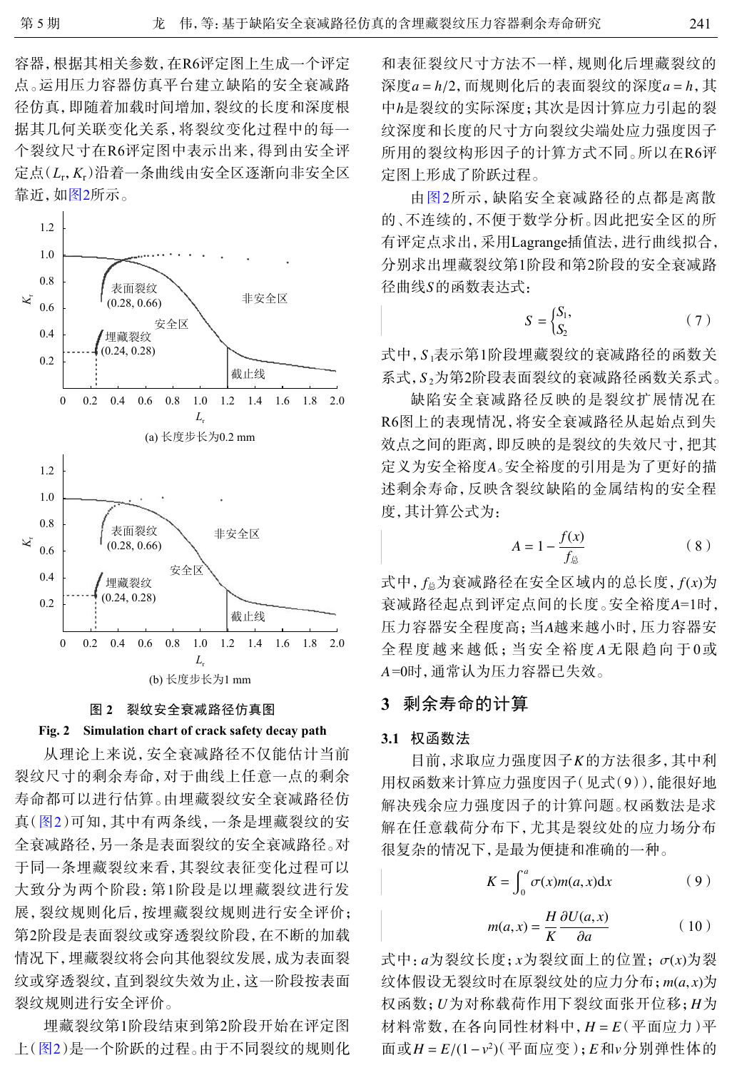容器,根据其相关参数,在R6评定图上生成一个评定 点。运用压力容器仿真平台建立缺陷的安全衰减路 径仿真,即随着加载时间增加,裂纹的长度和深度根 据其几何关联变化关系,将裂纹变化过程中的每一 个裂纹尺寸在R6评定图中表示出来,得到由安全评 定点(*L*r,*K*r)沿着一条曲线由安全区逐渐向非安全区 靠近,如[图](#page-2-0)[2](#page-2-0)所示。

<span id="page-2-0"></span>

#### 图 **2** 裂纹安全衰减路径仿真图

#### **Fig. 2 Simulation chart of crack safety decay path**

从理论上来说,安全衰减路径不仅能估计当前 裂纹尺寸的剩余寿命,对于曲线上任意一点的剩余 寿命都可以进行估算。由埋藏裂纹安全衰减路径仿 真([图](#page-2-0)[2](#page-2-0))可知,其中有两条线,一条是埋藏裂纹的安 全衰减路径,另一条是表面裂纹的安全衰减路径。对 于同一条埋藏裂纹来看,其裂纹表征变化过程可以 大致分为两个阶段:第1阶段是以埋藏裂纹进行发 展,裂纹规则化后,按埋藏裂纹规则进行安全评价; 第2阶段是表面裂纹或穿透裂纹阶段,在不断的加载 情况下,埋藏裂纹将会向其他裂纹发展,成为表面裂 纹或穿透裂纹,直到裂纹失效为止,这一阶段按表面 裂纹规则进行安全评价。

[埋藏](#page-2-0)裂纹第1阶段结束到第2阶段开始在评定图 上([图](#page-2-0)[2](#page-2-0))是一个阶跃的过程。由于不同裂纹的规则化

*a* = *h*/2 *a* = *h* 深度 ,而规则化后的表面裂纹的深度 ,其 中*h*是裂纹的实际深度;其次是因计算应力引起的裂 和表征裂纹尺寸方法不一样,规则化后埋藏裂纹的 纹深度和长度的尺寸方向裂纹尖端处应力强度因子 所用的裂纹构形因子的计算方式不同。所以在R6评 定图上形成了阶跃过程。

径曲线*S*的函数表达式: 由[图](#page-2-0)[2](#page-2-0)所示,缺陷安全衰减路径的点都是离散 的、不连续的,不便于数学分析。因此把安全区的所 有评定点求出,采用Lagrange插值法,进行曲线拟合, 分别求出埋藏裂纹第1阶段和第2阶段的安全衰减路

$$
S = \begin{cases} S_1, \\ S_2 \end{cases} \tag{7}
$$

式中, S<sub>1</sub>表示第1阶段埋藏裂纹的衰减路径的函数关 系式, S<sub>2</sub>为第2阶段表面裂纹的衰减路径函数关系式。

定义为安全裕度A。安全裕度的引用是为了更好的描 缺陷安全衰减路径反映的是裂纹扩展情况在 R6图上的表现情况,将安全衰减路径从起始点到失 效点之间的距离,即反映的是裂纹的失效尺寸,把其 述剩余寿命,反映含裂纹缺陷的金属结构的安全程 度,其计算公式为:

$$
A = 1 - \frac{f(x)}{f_{\hat{\mathbb{E}}}} \tag{8}
$$

式中,  $f_{\&}$ 为衰减路径在安全区域内的总长度,  $f(x)$ 为 衰减路径起点到评定点间的长度。安全裕度A=1时, 压力容器安全程度高; 当A越来越小时, 压力容器安 全程度越来越低;当安全裕度 A 无限趋向于 0或 *A* =0时,通常认为压力容器已失效。

### **3** 剩余寿命的计算

#### **3.1** 权函数法

目前,求取应力强度因子K的方法很多,其中利 用权函数来计算应力强度因子(见式(9)),能很好地 解决残余应力强度因子的计算问题。权函数法是求 解在任意载荷分布下,尤其是裂纹处的应力场分布 很复杂的情况下,是最为便捷和准确的一种。

$$
K = \int_0^a \sigma(x) m(a, x) \mathrm{d}x \tag{9}
$$

$$
m(a,x) = \frac{H}{K} \frac{\partial U(a,x)}{\partial a} \tag{10}
$$

 $\pm$ 中:  $a$ 为裂纹长度;  $x$ 为裂纹面上的位置;  $\sigma$ (*x*)为裂 纹体假设无裂纹时在原裂纹处的应力分布; m(a, x)为 权函数; *U*为对称载荷作用下裂纹面张开位移; *H*为 *H* = *E* 材料常数,在各向同性材料中, (平面应力)平 面或*H* = *E*/(1-*v*<sup>2</sup>)(平面应变); *E*和*v*分别弹性体的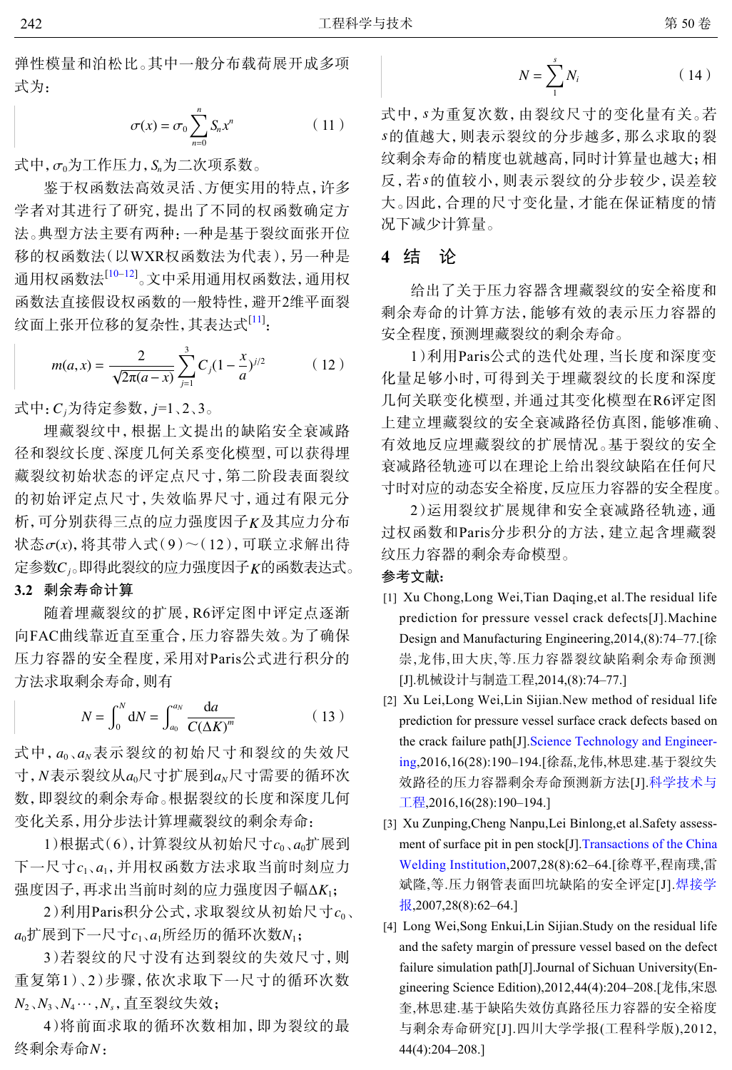弹性模量和泊松比。其中一般分布载荷展开成多项 式为:

$$
\sigma(x) = \sigma_0 \sum_{n=0}^{n} S_n x^n \tag{11}
$$

式中,σ0为工作压力, *Sn*为二次项系数。

鉴于权函数法高效灵活、方便实用的特点,许多 学者对其进行了研究,提出了不同的权函数确定方 法。典型方法主要有两种:一种是基于裂纹面张开位 移的权函数法(以WXR权函数法为代表),另一种是 通用权函数法[\[10](#page-4-4)–[12](#page-4-5)] 。文中采用通用权函数法,通用权 函数法直接假设权函数的一般特性,避开2维平面裂 纹面上张开位移的复杂性,其表达式<sup>[[11](#page-4-6)]</sup>:

$$
m(a,x) = \frac{2}{\sqrt{2\pi(a-x)}} \sum_{j=1}^{3} C_j (1 - \frac{x}{a})^{j/2}
$$
 (12)

式中: *C*,为待定参数, *j*=1、2、3。

析, 可分别获得三点的应力强度因子 K及其应力分布  $\mathcal{R}$ 态 $\sigma$ (*x*), 将其带入式(9)~(12), 可联立求解出待 定参数 $C_{j}$ 。即得此裂纹的应力强度因子 $\boldsymbol{K}$ 的函数表达式。 埋藏裂纹中,根据上文提出的缺陷安全衰减路 径和裂纹长度、深度几何关系变化模型,可以获得埋 藏裂纹初始状态的评定点尺寸,第二阶段表面裂纹 的初始评定点尺寸,失效临界尺寸,通过有限元分

#### **3.2** 剩余寿命计算

随着埋藏裂纹的扩展,R6评定图中评定点逐渐 向FAC曲线靠近直至重合,压力容器失效。为了确保 压力容器的安全程度,采用对Paris公式进行积分的 方法求取剩余寿命,则有

$$
N = \int_0^N dN = \int_{a_0}^{a_N} \frac{da}{C(\Delta K)^m}
$$
 (13)

式中, ao、an表示裂纹的初始尺寸和裂纹的失效尺 寸,  $N$ 表示裂纹从 $a_0$ 尺寸扩展到 $a_N$ 尺寸需要的循环次 数,即裂纹的剩余寿命。根据裂纹的长度和深度几何 变化关系,用分步法计算埋藏裂纹的剩余寿命:

 $1)$ 根据式(6),计算裂纹从初始尺寸 $c_0$ 、 $a_0$ 扩展到 下一尺寸 $c_1$ , $a_1$ ,并用权函数方法求取当前时刻应力 强度因子,再求出当前时刻的应力强度因子幅Δ*K*<sub>1</sub>;

2)利用Paris积分公式,求取裂纹从初始尺寸 $c_{0}$ 、  $a_0$ 扩展到下一尺寸 $c_1$ 、 $a_1$ 所经历的循环次数 $N_1$ ;

*N*<sup>2</sup> *N*<sup>3</sup> *N*<sup>4</sup> ··· ,*N<sup>s</sup>* 、 、 ,直至裂纹失效; 3)若裂纹的尺寸没有达到裂纹的失效尺寸,则 重复第1)、2)步骤,依次求取下一尺寸的循环次数

终剩余寿命N: 4)将前面求取的循环次数相加,即为裂纹的最

$$
N = \sum_{1}^{s} N_i \tag{14}
$$

*s* 式中, 为重复次数,由裂纹尺寸的变化量有关。若 *s* 的值越大,则表示裂纹的分步越多,那么求取的裂 *s* 反,若 的值较小,则表示裂纹的分步较少,误差较 纹剩余寿命的精度也就越高,同时计算量也越大;相 大。因此,合理的尺寸变化量,才能在保证精度的情 况下减少计算量。

## **4** 结 论

给出了关于压力容器含埋藏裂纹的安全裕度和 剩余寿命的计算方法,能够有效的表示压力容器的 安全程度,预测埋藏裂纹的剩余寿命。

1)利用Paris公式的迭代处理,当长度和深度变 化量足够小时,可得到关于埋藏裂纹的长度和深度 几何关联变化模型,并通过其变化模型在R6评定图 上建立埋藏裂纹的安全衰减路径仿真图,能够准确、 有效地反应埋藏裂纹的扩展情况。基于裂纹的安全 衰减路径轨迹可以在理论上给出裂纹缺陷在任何尺 寸时对应的动态安全裕度,反应压力容器的安全程度。

2)运用裂纹扩展规律和安全衰减路径轨迹,通 过权函数和Paris分步积分的方法,建立起含埋藏裂 纹压力容器的剩余寿命模型。

#### 参考文献:

- <span id="page-3-0"></span>Xu Chong,Long Wei,Tian Daqing,et al.The residual life [1] prediction for pressure vessel crack defects[J].Machine Design and Manufacturing Engineering,2014,(8):74–77.[徐 崇,龙伟,田大庆,等.压力容器裂纹缺陷剩余寿命预测 [J].机械设计与制造工程,2014,(8):74–77.]
- <span id="page-3-1"></span>[2] Xu Lei, Long Wei, Lin Sijian. New method of residual life prediction for pressure vessel surface crack defects based on the crack failure path[J][.Science Technology and Engineer](http://dx.doi.org/10.3969/j.issn.1671-1815.2016.28.034)[ing](http://dx.doi.org/10.3969/j.issn.1671-1815.2016.28.034),2016,16(28):190–194.[徐磊,龙伟,林思建.基于裂纹失 效路径的压力容器剩余寿命预测新方法[J].[科学技术与](http://dx.doi.org/10.3969/j.issn.1671-1815.2016.28.034) [工程](http://dx.doi.org/10.3969/j.issn.1671-1815.2016.28.034),2016,16(28):190–194.]
- <span id="page-3-2"></span>Xu Zunping,Cheng Nanpu,Lei Binlong,et al.Safety assess-[3] ment of surface pit in pen stock[J].[Transactions of the China](http://dx.doi.org/10.3321/j.issn:0253-360x.2007.08.016) [Welding Institution](http://dx.doi.org/10.3321/j.issn:0253-360x.2007.08.016),2007,28(8):62–64.[徐尊平,程南璞,雷 斌隆,等.压力钢管表面凹坑缺陷的安全评定[J].[焊接学](http://dx.doi.org/10.3321/j.issn:0253-360x.2007.08.016) [报](http://dx.doi.org/10.3321/j.issn:0253-360x.2007.08.016),2007,28(8):62–64.]
- <span id="page-3-3"></span>[4] Long Wei, Song Enkui, Lin Sijian. Study on the residual life and the safety margin of pressure vessel based on the defect failure simulation path[J].Journal of Sichuan University(Engineering Science Edition),2012,44(4):204–208.[龙伟,宋恩 奎,林思建.基于缺陷失效仿真路径压力容器的安全裕度 与剩余寿命研究[J].四川大学学报(工程科学版),2012, 44(4):204–208.]